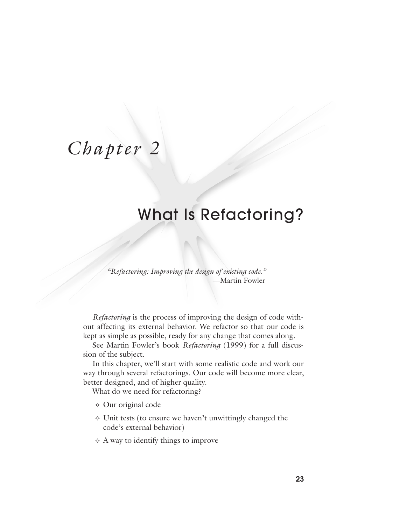# *Chapter 2*

## What Is Refactoring?

*"Refactoring: Improving the design of existing code."*  —Martin Fowler

*Refactoring* is the process of improving the design of code without affecting its external behavior. We refactor so that our code is kept as simple as possible, ready for any change that comes along.

See Martin Fowler's book *Refactoring* (1999) for a full discussion of the subject.

In this chapter, we'll start with some realistic code and work our way through several refactorings. Our code will become more clear, better designed, and of higher quality.

What do we need for refactoring?

- ✧ Our original code
- ✧ Unit tests (to ensure we haven't unwittingly changed the code's external behavior)
- ✧ A way to identify things to improve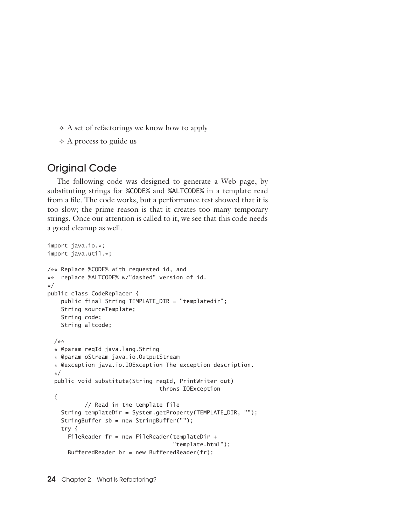- ✧ A set of refactorings we know how to apply
- ✧ A process to guide us

## Original Code

The following code was designed to generate a Web page, by substituting strings for %CODE% and %ALTCODE% in a template read from a file. The code works, but a performance test showed that it is too slow; the prime reason is that it creates too many temporary strings. Once our attention is called to it, we see that this code needs a good cleanup as well.

```
import java.io.*;
import java.util.*;
/** Replace %CODE% with requested id, and
** replace %ALTCODE% w/"dashed" version of id.
*/
public class CodeReplacer {
    public final String TEMPLATE_DIR = "templatedir";
    String sourceTemplate;
    String code;
    String altcode;
  /**
  * @param reqId java.lang.String
  * @param oStream java.io.OutputStream
  * @exception java.io.IOException The exception description.
  */
  public void substitute(String reqId, PrintWriter out) 
                                 throws IOException
  {
           // Read in the template file
    String templateDir = System.getProperty(TEMPLATE_DIR, "");
    StringBuffer sb = new StringBuffer("");
    try {
     FileReader fr = new FileReader(templateDir +
                                     "template.html");
     BufferedReader br = new BufferedReader(fr);
```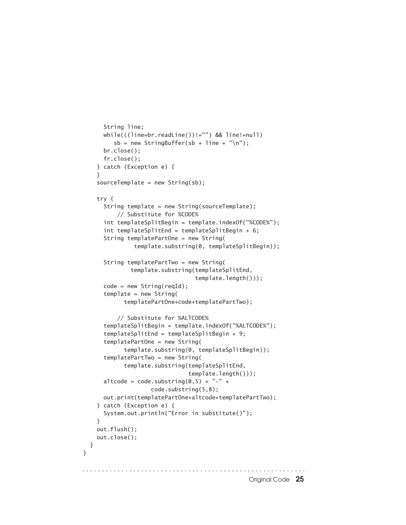```
 String line;
      while(((line=br.readLine())!="") && line!=null) 
         sb = new StringBuffer(sb + line + "n");
       br.close();
      fr.close();
    } catch (Exception e) {
     }
   sourceTemplate = new String(sb);
    try {
       String template = new String(sourceTemplate);
           // Substitute for %CODE%
       int templateSplitBegin = template.indexOf("%CODE%");
      int templateSplitEnd = templateSplitBegin + 6;
       String templatePartOne = new String(
                template.substring(0, templateSplitBegin));
       String templatePartTwo = new String(
               template.substring(templateSplitEnd,
                                  template.length()));
      code = new String(reqId); template = new String(
             templatePartOne+code+templatePartTwo);
           // Substitute for %ALTCODE%
       templateSplitBegin = template.indexOf("%ALTCODE%");
       templateSplitEnd = templateSplitBegin + 9;
       templatePartOne = new String(
             template.substring(0, templateSplitBegin));
       templatePartTwo = new String(
             template.substring(templateSplitEnd,
                                template.length()));
      altcode = code.substring(0,5) + "-" +
                     code.substring(5,8);
      out.print(templatePartOne+altcode+templatePartTwo);
    } catch (Exception e) {
       System.out.println("Error in substitute()");
    }
    out.flush();
    out.close();
  }
}Original Code 25
```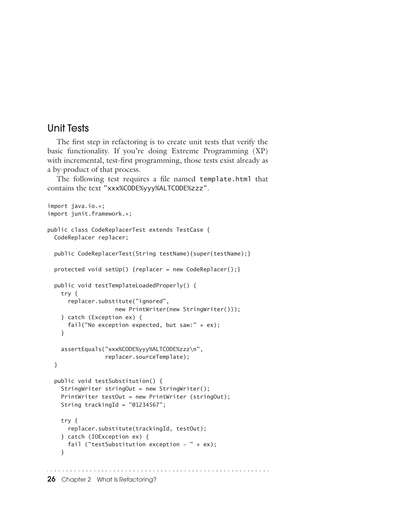## Unit Tests

The first step in refactoring is to create unit tests that verify the basic functionality. If you're doing Extreme Programming (XP) with incremental, test-first programming, those tests exist already as a by-product of that process.

The following test requires a file named template.html that contains the text "xxx%CODE%yyy%ALTCODE%zzz".

```
import java.io.*;
import junit.framework.*;
public class CodeReplacerTest extends TestCase {
   CodeReplacer replacer;
   public CodeReplacerTest(String testName){super(testName);}
   protected void setUp() {replacer = new CodeReplacer();}
   public void testTemplateLoadedProperly() {
    try {
       replacer.substitute("ignored", 
                     new PrintWriter(new StringWriter()));
     } catch (Exception ex) {
       fail("No exception expected, but saw:" + ex);
     }
    assertEquals("xxx%CODE%yyy%ALTCODE%zzz\n",
                  replacer.sourceTemplate);
   }
   public void testSubstitution() {
     StringWriter stringOut = new StringWriter();
     PrintWriter testOut = new PrintWriter (stringOut);
   String trackingId = "01234567";
    try {
       replacer.substitute(trackingId, testOut);
     } catch (IOException ex) {
      fail ("testSubstitution exception - " + ex);
     }
```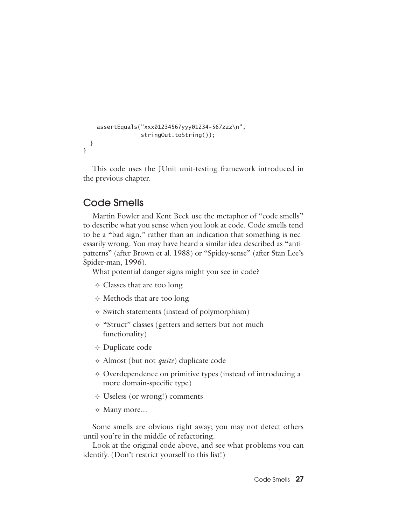```
 assertEquals("xxx01234567yyy01234-567zzz\n",
                   stringOut.toString());
  }
}
```
This code uses the JUnit unit-testing framework introduced in the previous chapter.

## Code Smells

Martin Fowler and Kent Beck use the metaphor of "code smells" to describe what you sense when you look at code. Code smells tend to be a "bad sign," rather than an indication that something is necessarily wrong. You may have heard a similar idea described as "antipatterns" (after Brown et al. 1988) or "Spidey-sense" (after Stan Lee's Spider-man, 1996).

What potential danger signs might you see in code?

- ✧ Classes that are too long
- ✧ Methods that are too long
- ✧ Switch statements (instead of polymorphism)
- ✧ "Struct" classes (getters and setters but not much functionality)
- ✧ Duplicate code
- ✧ Almost (but not *quite*) duplicate code
- ✧ Overdependence on primitive types (instead of introducing a more domain-specific type)
- ✧ Useless (or wrong!) comments
- ✧ Many more...

Some smells are obvious right away; you may not detect others until you're in the middle of refactoring.

Look at the original code above, and see what problems you can identify. (Don't restrict yourself to this list!)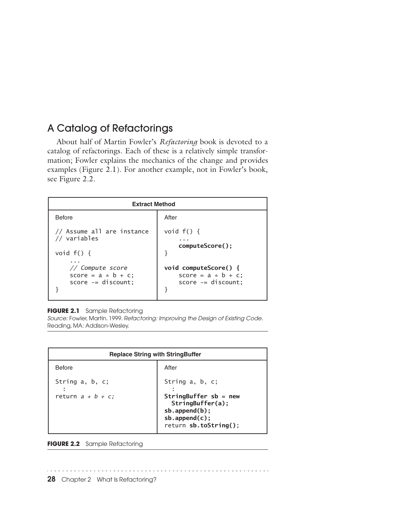## A Catalog of Refactorings

About half of Martin Fowler's *Refactoring* book is devoted to a catalog of refactorings. Each of these is a relatively simple transformation; Fowler explains the mechanics of the change and provides examples (Figure 2.1). For another example, not in Fowler's book, see Figure 2.2.

| <b>Extract Method</b>                                              |                                                                      |
|--------------------------------------------------------------------|----------------------------------------------------------------------|
| <b>Before</b>                                                      | After                                                                |
| // Assume all are instance<br>// variables<br>void $f() \{$        | void $f() \{$<br>computeScore();                                     |
| // Compute score<br>score = $a * b + c$ ;<br>$score - = discount;$ | void computeScore() {<br>score = $a * b + c$ ;<br>$score = distance$ |

#### **FIGURE 2.1** Sample Refactoring

*Source:* Fowler, Martin. 1999. *Refactoring: Improving the Design of Existing Code*. Reading, MA: Addison-Wesley.

| <b>Replace String with StringBuffer</b> |                                                                |
|-----------------------------------------|----------------------------------------------------------------|
| <b>Before</b>                           | After                                                          |
| String a, b, c;<br>return $a + b + c$ ; | String a, b, c;<br>StringBuffer $sb = new$<br>StringBuffer(a); |
|                                         | $sb.append(b)$ ;<br>$sb.append(c)$ ;<br>return sb.toString();  |

**FIGURE 2.2** Sample Refactoring

**28** Chapter 2 What Is Refactoring?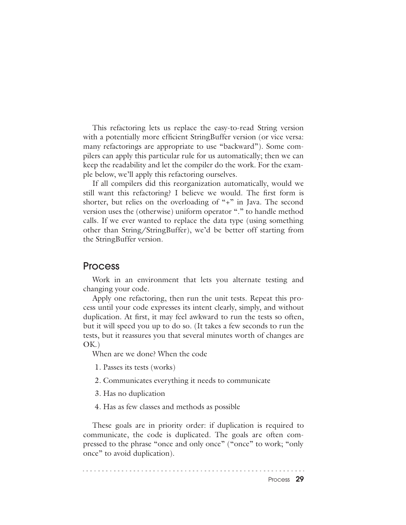This refactoring lets us replace the easy-to-read String version with a potentially more efficient StringBuffer version (or vice versa: many refactorings are appropriate to use "backward"). Some compilers can apply this particular rule for us automatically; then we can keep the readability and let the compiler do the work. For the example below, we'll apply this refactoring ourselves.

If all compilers did this reorganization automatically, would we still want this refactoring? I believe we would. The first form is shorter, but relies on the overloading of "+" in Java. The second version uses the (otherwise) uniform operator "." to handle method calls. If we ever wanted to replace the data type (using something other than String/StringBuffer), we'd be better off starting from the StringBuffer version.

#### Process

Work in an environment that lets you alternate testing and changing your code.

Apply one refactoring, then run the unit tests. Repeat this process until your code expresses its intent clearly, simply, and without duplication. At first, it may feel awkward to run the tests so often, but it will speed you up to do so. (It takes a few seconds to run the tests, but it reassures you that several minutes worth of changes are OK.)

When are we done? When the code

1. Passes its tests (works)

2. Communicates everything it needs to communicate

3. Has no duplication

4. Has as few classes and methods as possible

These goals are in priority order: if duplication is required to communicate, the code is duplicated. The goals are often compressed to the phrase "once and only once" ("once" to work; "only once" to avoid duplication).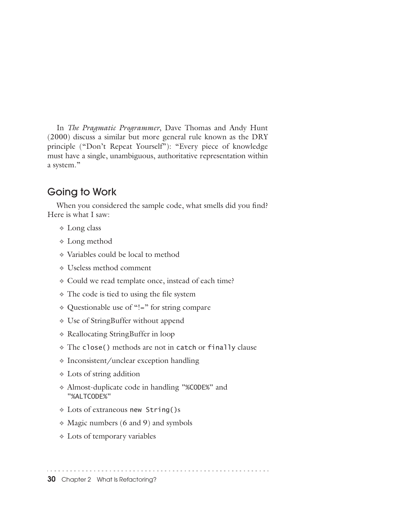In *The Pragmatic Programmer*, Dave Thomas and Andy Hunt (2000) discuss a similar but more general rule known as the DRY principle ("Don't Repeat Yourself"): "Every piece of knowledge must have a single, unambiguous, authoritative representation within a system."

## Going to Work

When you considered the sample code, what smells did you find? Here is what I saw:

- ✧ Long class
- ✧ Long method
- ✧ Variables could be local to method
- ✧ Useless method comment
- ✧ Could we read template once, instead of each time?
- ✧ The code is tied to using the file system
- ✧ Questionable use of "!=" for string compare
- ✧ Use of StringBuffer without append
- ✧ Reallocating StringBuffer in loop
- ✧ The close() methods are not in catch or finally clause
- ✧ Inconsistent/unclear exception handling
- ✧ Lots of string addition
- ✧ Almost-duplicate code in handling "%CODE%" and "%ALTCODE%"
- ✧ Lots of extraneous new String()s
- ✧ Magic numbers (6 and 9) and symbols
- ✧ Lots of temporary variables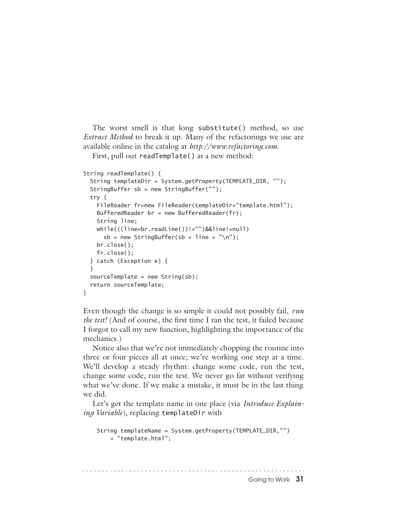The worst smell is that long substitute() method, so use *Extract Method* to break it up. Many of the refactorings we use are available online in the catalog at *http://www.refactoring.com*.

First, pull out readTemplate() as a new method:

```
String readTemplate() {
  String templateDir = System.getProperty(TEMPLATE_DIR, "");
  StringBuffer sb = new StringBuffer("");
  try {
   FileReader fr=new FileReader(templateDir+"template.html");
   BufferedReader br = new BufferedReader(fr); String line;
    while(((line=br.readLine())!="")&&line!=null) 
      sb = new StringBuffer(sb + line + "n");
    br.close();
    fr.close();
  } catch (Exception e) {
  }
 sourceTemplate = new String(sb); return sourceTemplate;
}
```
Even though the change is so simple it could not possibly fail, *run the test!* (And of course, the first time I ran the test, it failed because I forgot to call my new function, highlighting the importance of the mechanics.)

Notice also that we're not immediately chopping the routine into three or four pieces all at once; we're working one step at a time. We'll develop a steady rhythm: change some code, run the test, change some code, run the test. We never go far without verifying what we've done. If we make a mistake, it must be in the last thing we did.

Let's get the template name in one place (via *Introduce Explaining Variable*), replacing templateDir with

```
 String templateName = System.getProperty(TEMPLATE_DIR,"")
     + "template.html";
```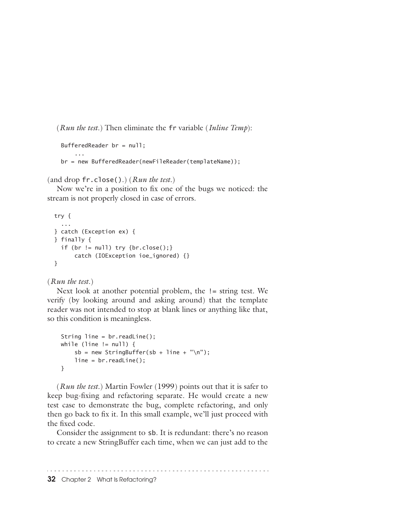(*Run the test.*) Then eliminate the fr variable (*Inline Temp*):

```
 BufferedReader br = null;
 ...
    br = new BufferedReader(newFileReader(templateName));
```
(and drop fr.close().) (*Run the test.*)

Now we're in a position to fix one of the bugs we noticed: the stream is not properly closed in case of errors.

```
 try {
   ...
 } catch (Exception ex) {
 } finally {
 if (br != null) try {br.close();} catch (IOException ioe_ignored) {}
 }
```
#### (*Run the test.*)

Next look at another potential problem, the != string test. We verify (by looking around and asking around) that the template reader was not intended to stop at blank lines or anything like that, so this condition is meaningless.

```
 String line = br.readLine();
while (line != null) {
    sb = new StringBuffer(sb + line + "n");
     line = br.readLine();
 }
```
(*Run the test.*) Martin Fowler (1999) points out that it is safer to keep bug-fixing and refactoring separate. He would create a new test case to demonstrate the bug, complete refactoring, and only then go back to fix it. In this small example, we'll just proceed with the fixed code.

Consider the assignment to sb. It is redundant: there's no reason to create a new StringBuffer each time, when we can just add to the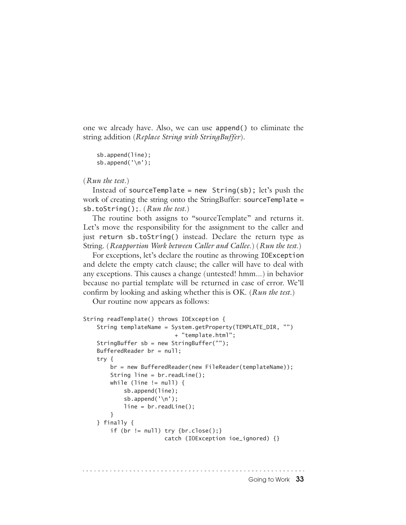one we already have. Also, we can use append() to eliminate the string addition (*Replace String with StringBuffer*).

```
 sb.append(line);
 sb.append('\n');
```
#### (*Run the test.*)

Instead of sourceTemplate = new  $String(sb)$ ; let's push the work of creating the string onto the StringBuffer: sourceTemplate = sb.toString();. (*Run the test.*)

The routine both assigns to "sourceTemplate" and returns it. Let's move the responsibility for the assignment to the caller and just return sb.toString() instead. Declare the return type as String. (*Reapportion Work between Caller and Callee.*) (*Run the test.*)

For exceptions, let's declare the routine as throwing IOException and delete the empty catch clause; the caller will have to deal with any exceptions. This causes a change (untested! hmm...) in behavior because no partial template will be returned in case of error. We'll confirm by looking and asking whether this is OK. (*Run the test.*)

Our routine now appears as follows:

```
String readTemplate() throws IOException {
     String templateName = System.getProperty(TEMPLATE_DIR, "")
                             + "template.html";
    StringBuffer sb = new StringBuffer("");
    BufferedReader br = null;
    try {
         br = new BufferedReader(new FileReader(templateName));
         String line = br.readLine();
        while (line != null) {
             sb.append(line);
            sb.append('\n\in);
             line = br.readLine();
         }
    } finally {
        if (br := null) try {br.close();} catch (IOException ioe_ignored) {}
```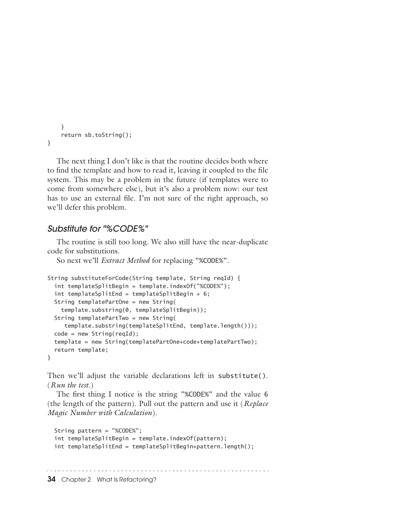```
 }
     return sb.toString();
}
```
The next thing I don't like is that the routine decides both where to find the template and how to read it, leaving it coupled to the file system. This may be a problem in the future (if templates were to come from somewhere else), but it's also a problem now: our test has to use an external file. I'm not sure of the right approach, so we'll defer this problem.

#### *Substitute for "%CODE%"*

The routine is still too long. We also still have the near-duplicate code for substitutions.

So next we'll *Extract Method* for replacing "%CODE%".

```
String substituteForCode(String template, String reqId) {
   int templateSplitBegin = template.indexOf("%CODE%");
  int templateSplitEnd = templateSplitBegin + 6;
   String templatePartOne = new String(
     template.substring(0, templateSplitBegin));
   String templatePartTwo = new String(
      template.substring(templateSplitEnd, template.length()));
  code = new String(reqId); template = new String(templatePartOne+code+templatePartTwo);
   return template;
}
```
Then we'll adjust the variable declarations left in substitute(). (*Run the test.*)

The first thing I notice is the string "%CODE%" and the value 6 (the length of the pattern). Pull out the pattern and use it (*Replace Magic Number with Calculation*).

```
 String pattern = "%CODE%";
 int templateSplitBegin = template.indexOf(pattern);
 int templateSplitEnd = templateSplitBegin+pattern.length();
```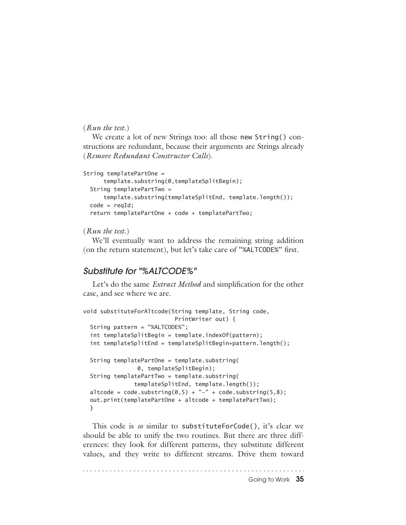#### (*Run the test.*)

We create a lot of new Strings too: all those new String() constructions are redundant, because their arguments are Strings already (*Remove Redundant Constructor Calls*).

```
String templatePartOne =
       template.substring(0,templateSplitBegin);
  String templatePartTwo =
       template.substring(templateSplitEnd, template.length());
 code = read: return templatePartOne + code + templatePartTwo;
```
#### (*Run the test.*)

We'll eventually want to address the remaining string addition (on the return statement), but let's take care of "%ALTCODE%" first.

#### *Substitute for "%ALTCODE%"*

Let's do the same *Extract Method* and simplification for the other case, and see where we are.

```
void substituteForAltcode(String template, String code,
                            PrintWriter out) {
  String pattern = "%ALTCODE%";
  int templateSplitBegin = template.indexOf(pattern);
  int templateSplitEnd = templateSplitBegin+pattern.length();
  String templatePartOne = template.substring(
                 0, templateSplitBegin);
  String templatePartTwo = template.substring(
                templateSplitEnd, template.length());
 altcode = code.substring(0,5) + "-" + code.substring(5,8);
  out.print(templatePartOne + altcode + templatePartTwo);
  }
```
This code is *so* similar to substituteForCode(), it's clear we should be able to unify the two routines. But there are three differences: they look for different patterns, they substitute different values, and they write to different streams. Drive them toward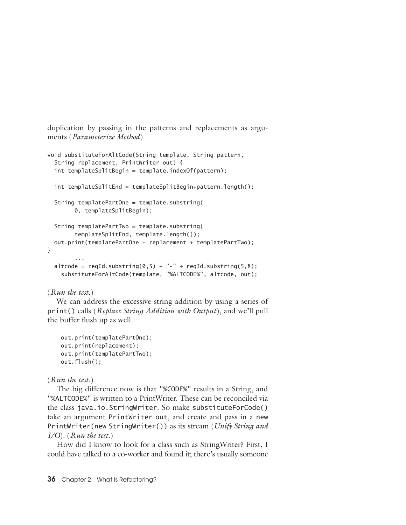duplication by passing in the patterns and replacements as arguments (*Parameterize Method*).

```
void substituteForAltCode(String template, String pattern,
   String replacement, PrintWriter out) {
   int templateSplitBegin = template.indexOf(pattern);
   int templateSplitEnd = templateSplitBegin+pattern.length();
   String templatePartOne = template.substring(
         0, templateSplitBegin);
   String templatePartTwo = template.substring(
         templateSplitEnd, template.length());
  out.print(templatePartOne + replacement + templatePartTwo);
}
 ...
  altcode = reqId.substring(0,5) + "- " + reqId.substring(5,8); substituteForAltCode(template, "%ALTCODE%", altcode, out);
```
#### (*Run the test.*)

We can address the excessive string addition by using a series of print() calls (*Replace String Addition with Output*), and we'll pull the buffer flush up as well.

```
 out.print(templatePartOne);
 out.print(replacement);
 out.print(templatePartTwo);
 out.flush();
```
#### (*Run the test.*)

The big difference now is that "%CODE%" results in a String, and "%ALTCODE%" is written to a PrintWriter. These can be reconciled via the class java.io.StringWriter. So make substituteForCode() take an argument PrintWriter out, and create and pass in a new PrintWriter(new StringWriter()) as its stream (*Unify String and I/O*). (*Run the test.*)

How did I know to look for a class such as StringWriter? First, I could have talked to a co-worker and found it; there's usually someone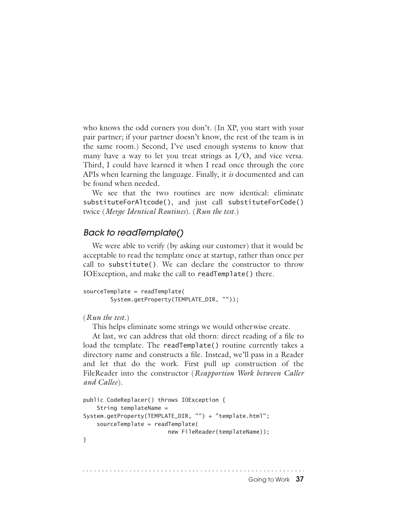who knows the odd corners you don't. (In XP, you start with your pair partner; if your partner doesn't know, the rest of the team is in the same room.) Second, I've used enough systems to know that many have a way to let you treat strings as I/O, and vice versa. Third, I could have learned it when I read once through the core APIs when learning the language. Finally, it *is* documented and can be found when needed.

We see that the two routines are now identical: eliminate substituteForAltcode(), and just call substituteForCode() twice (*Merge Identical Routines*). (*Run the test.*)

#### *Back to readTemplate()*

We were able to verify (by asking our customer) that it would be acceptable to read the template once at startup, rather than once per call to substitute(). We can declare the constructor to throw IOException, and make the call to readTemplate() there.

```
sourceTemplate = readTemplate(
         System.getProperty(TEMPLATE_DIR, ""));
```

```
(Run the test.)
```
This helps eliminate some strings we would otherwise create.

At last, we can address that old thorn: direct reading of a file to load the template. The readTemplate() routine currently takes a directory name and constructs a file. Instead, we'll pass in a Reader and let that do the work. First pull up construction of the FileReader into the constructor (*Reapportion Work between Caller and Callee*).

```
public CodeReplacer() throws IOException {
     String templateName = 
System.getProperty(TEMPLATE_DIR, "") + "template.html";
     sourceTemplate = readTemplate(
                          new FileReader(templateName));
}
```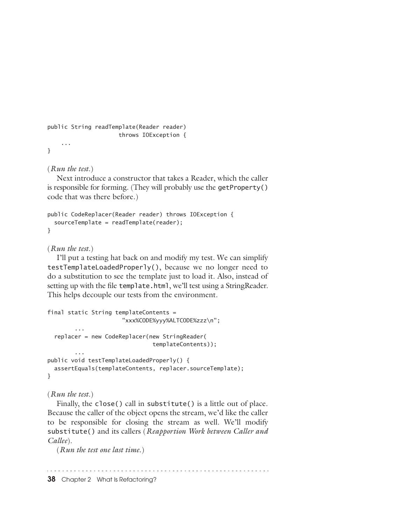```
public String readTemplate(Reader reader) 
                       throws IOException {
     ...
}
```
(*Run the test.*)

Next introduce a constructor that takes a Reader, which the caller is responsible for forming. (They will probably use the getProperty() code that was there before.)

```
public CodeReplacer(Reader reader) throws IOException {
   sourceTemplate = readTemplate(reader);
}
```
#### (*Run the test.*)

I'll put a testing hat back on and modify my test. We can simplify testTemplateLoadedProperly(), because we no longer need to do a substitution to see the template just to load it. Also, instead of setting up with the file template.html, we'll test using a StringReader. This helps decouple our tests from the environment.

```
final static String templateContents =
                      "xxx%CODE%yyy%ALTCODE%zzz\n";
 ...
   replacer = new CodeReplacer(new StringReader(
                               templateContents));
 ...
public void testTemplateLoadedProperly() {
   assertEquals(templateContents, replacer.sourceTemplate);
}
```
#### (*Run the test.*)

Finally, the close() call in substitute() is a little out of place. Because the caller of the object opens the stream, we'd like the caller to be responsible for closing the stream as well. We'll modify substitute() and its callers (*Reapportion Work between Caller and Callee*).

(*Run the test one last time.*)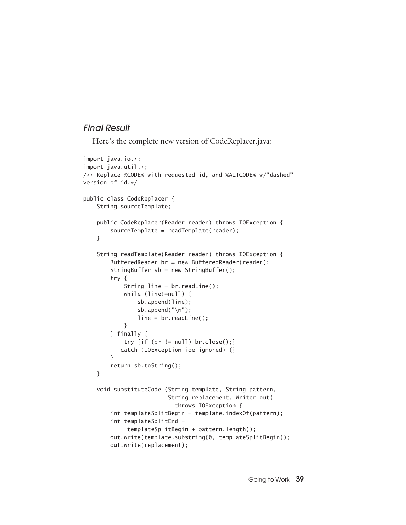#### *Final Result*

Here's the complete new version of CodeReplacer.java:

```
import java.io.*;
import java.util.*;
/** Replace %CODE% with requested id, and %ALTCODE% w/"dashed" 
version of id.*/
public class CodeReplacer {
    String sourceTemplate;
    public CodeReplacer(Reader reader) throws IOException {
         sourceTemplate = readTemplate(reader);
    }
    String readTemplate(Reader reader) throws IOException {
         BufferedReader br = new BufferedReader(reader);
         StringBuffer sb = new StringBuffer();
         try {
             String line = br.readLine();
            while (line!=null) {
                 sb.append(line);
                sb.append("\n\n\r;
                 line = br.readLine();
 }
         } finally {
            try \{if (br := null) br.close();\} catch (IOException ioe_ignored) {}
         }
         return sb.toString();
    }
    void substituteCode (String template, String pattern,
                          String replacement, Writer out)
                             throws IOException {
         int templateSplitBegin = template.indexOf(pattern);
         int templateSplitEnd = 
              templateSplitBegin + pattern.length();
         out.write(template.substring(0, templateSplitBegin));
         out.write(replacement);
```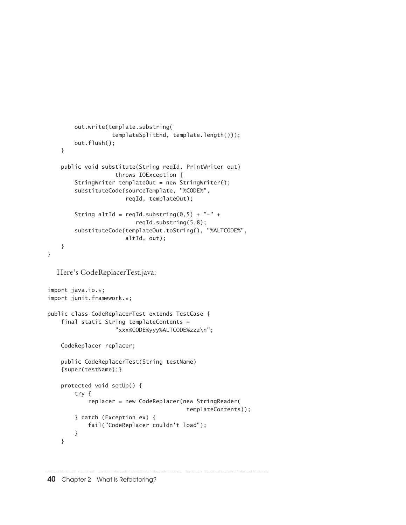```
 out.write(template.substring(
                    templateSplitEnd, template.length()));
         out.flush();
     }
     public void substitute(String reqId, PrintWriter out)
                     throws IOException {
        StringWriter templateOut = new StringWriter();
         substituteCode(sourceTemplate, "%CODE%", 
                        reqId, templateOut);
        String altId = reqId.substring(0,5) + "-" +
                           reqId.substring(5,8);
         substituteCode(templateOut.toString(), "%ALTCODE%",
                        altId, out);
    }
}
  Here's CodeReplacerTest.java: 
import java.io.*;
import junit.framework.*;
public class CodeReplacerTest extends TestCase {
     final static String templateContents = 
                     "xxx%CODE%yyy%ALTCODE%zzz\n";
     CodeReplacer replacer;
     public CodeReplacerTest(String testName)
     {super(testName);}
     protected void setUp() {
         try {
             replacer = new CodeReplacer(new StringReader(
                                          templateContents));
         } catch (Exception ex) {
             fail("CodeReplacer couldn't load");
         }
     }40 Chapter 2 What Is Refactoring?
```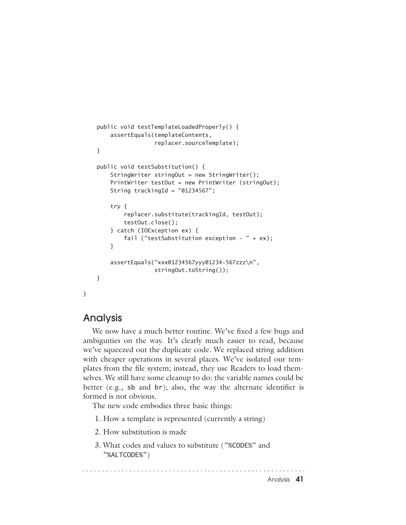```
 public void testTemplateLoadedProperly() {
     assertEquals(templateContents,
                   replacer.sourceTemplate);
 }
 public void testSubstitution() {
    StringWriter stringOut = new StringWriter();
     PrintWriter testOut = new PrintWriter (stringOut);
    String trackingId = "01234567";
     try {
         replacer.substitute(trackingId, testOut);
         testOut.close();
     } catch (IOException ex) {
        fail ("testSubstitution exception - " + ex);
     }
     assertEquals("xxx01234567yyy01234-567zzz\n",
                  stringOut.toString());
 }
```
### Analysis

}

We now have a much better routine. We've fixed a few bugs and ambiguities on the way. It's clearly much easier to read, because we've squeezed out the duplicate code. We replaced string addition with cheaper operations in several places. We've isolated our templates from the file system; instead, they use Readers to load themselves. We still have some cleanup to do: the variable names could be better (e.g., sb and br); also, the way the alternate identifier is formed is not obvious.

The new code embodies three basic things:

- 1. How a template is represented (currently a string)
- 2. How substitution is made
- 3. What codes and values to substitute ("%CODE%" and "%ALTCODE%")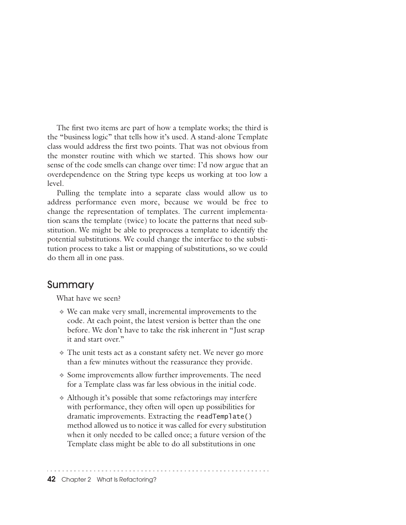The first two items are part of how a template works; the third is the "business logic" that tells how it's used. A stand-alone Template class would address the first two points. That was not obvious from the monster routine with which we started. This shows how our sense of the code smells can change over time: I'd now argue that an overdependence on the String type keeps us working at too low a level.

Pulling the template into a separate class would allow us to address performance even more, because we would be free to change the representation of templates. The current implementation scans the template (twice) to locate the patterns that need substitution. We might be able to preprocess a template to identify the potential substitutions. We could change the interface to the substitution process to take a list or mapping of substitutions, so we could do them all in one pass.

#### Summary

What have we seen?

- ✧ We can make very small, incremental improvements to the code. At each point, the latest version is better than the one before. We don't have to take the risk inherent in "Just scrap it and start over."
- ✧ The unit tests act as a constant safety net. We never go more than a few minutes without the reassurance they provide.
- ✧ Some improvements allow further improvements. The need for a Template class was far less obvious in the initial code.
- ✧ Although it's possible that some refactorings may interfere with performance, they often will open up possibilities for dramatic improvements. Extracting the readTemplate() method allowed us to notice it was called for every substitution when it only needed to be called once; a future version of the Template class might be able to do all substitutions in one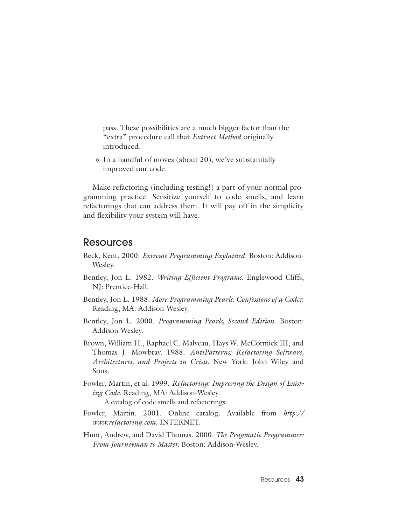pass. These possibilities are a much bigger factor than the "extra" procedure call that *Extract Method* originally introduced.

 $\Diamond$  In a handful of moves (about 20), we've substantially improved our code.

Make refactoring (including testing!) a part of your normal programming practice. Sensitize yourself to code smells, and learn refactorings that can address them. It will pay off in the simplicity and flexibility your system will have.

#### Resources

- Beck, Kent. 2000. *Extreme Programming Explained*. Boston: Addison-Wesley.
- Bentley, Jon L. 1982. *Writing Efficient Programs.* Englewood Cliffs, NJ: Prentice-Hall.
- Bentley, Jon L. 1988. *More Programming Pearls: Confessions of a Coder.* Reading, MA: Addison-Wesley.
- Bentley, Jon L. 2000. *Programming Pearls, Second Edition*. Boston: Addison-Wesley.
- Brown, William H., Raphael C. Malveau, Hays W. McCormick III, and Thomas J. Mowbray. 1988. *AntiPatterns: Refactoring Software, Architectures, and Projects in Crisis.* New York: John Wiley and Sons.
- Fowler, Martin, et al. 1999. *Refactoring: Improving the Design of Existing Code.* Reading, MA: Addison-Wesley. A catalog of code smells and refactorings.
- Fowler, Martin. 2001. Online catalog. Available from *http:// www.refactoring.com*. INTERNET.
- Hunt, Andrew, and David Thomas. 2000. *The Pragmatic Programmer: From Journeyman to Master.* Boston: Addison-Wesley.